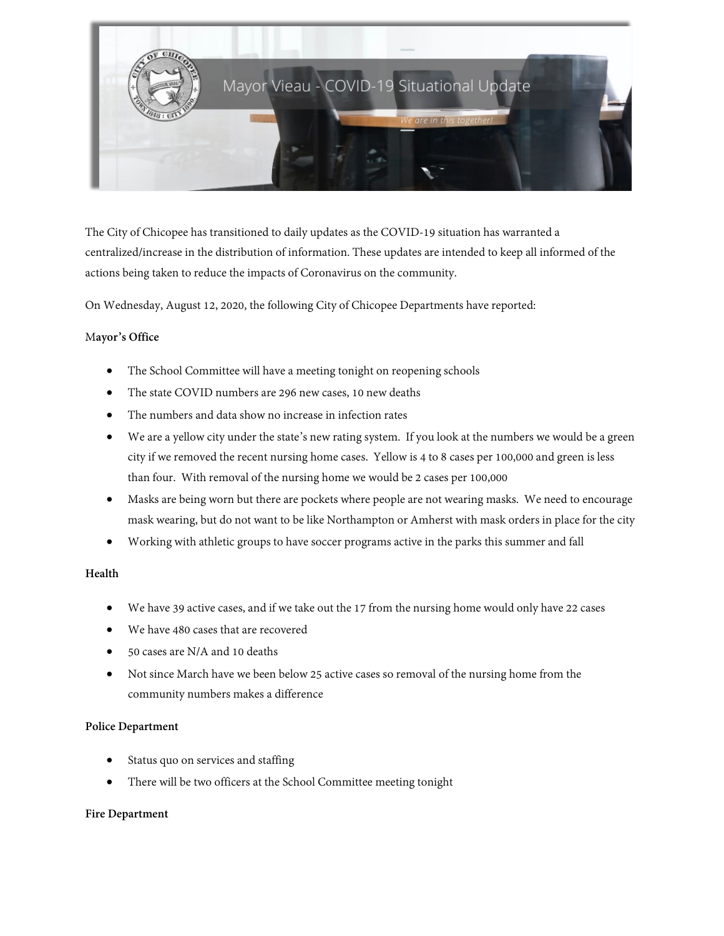

The City of Chicopee has transitioned to daily updates as the COVID-19 situation has warranted a centralized/increase in the distribution of information. These updates are intended to keep all informed of the actions being taken to reduce the impacts of Coronavirus on the community.

On Wednesday, August 12, 2020, the following City of Chicopee Departments have reported:

## M**ayor's Office**

- The School Committee will have a meeting tonight on reopening schools
- The state COVID numbers are 296 new cases, 10 new deaths
- The numbers and data show no increase in infection rates
- We are a yellow city under the state's new rating system. If you look at the numbers we would be a green city if we removed the recent nursing home cases. Yellow is 4 to 8 cases per 100,000 and green is less than four. With removal of the nursing home we would be 2 cases per 100,000
- Masks are being worn but there are pockets where people are not wearing masks. We need to encourage mask wearing, but do not want to be like Northampton or Amherst with mask orders in place for the city
- Working with athletic groups to have soccer programs active in the parks this summer and fall

#### **Health**

- We have 39 active cases, and if we take out the 17 from the nursing home would only have 22 cases
- We have 480 cases that are recovered
- 50 cases are N/A and 10 deaths
- Not since March have we been below 25 active cases so removal of the nursing home from the community numbers makes a difference

#### **Police Department**

- Status quo on services and staffing
- There will be two officers at the School Committee meeting tonight

#### **Fire Department**